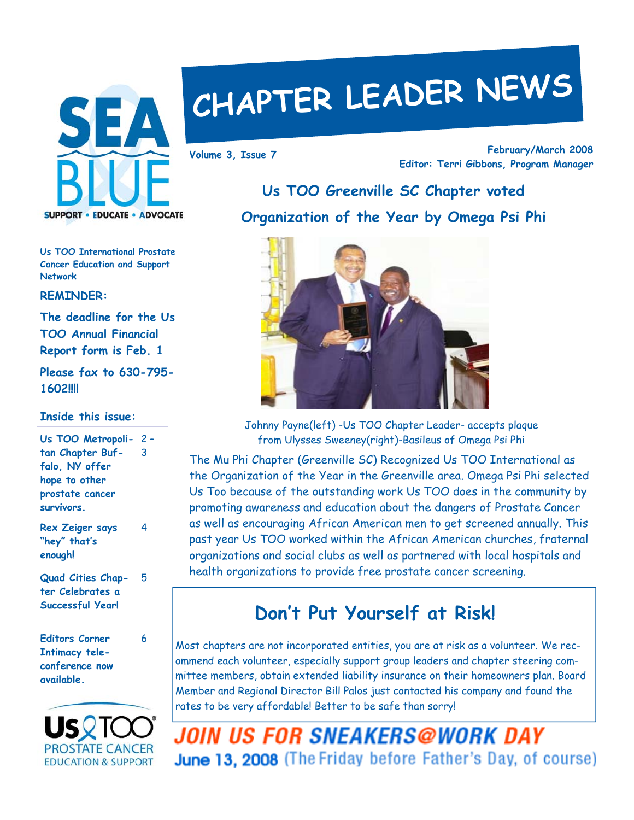

# **CHAPTER LEADER NEWS**

**February/March 2008 Editor: Terri Gibbons, Program Manager Volume 3, Issue 7** 

## **Us TOO Greenville SC Chapter voted Organization of the Year by Omega Psi Phi**



Johnny Payne(left) -Us TOO Chapter Leader- accepts plaque from Ulysses Sweeney(right)-Basileus of Omega Psi Phi

The Mu Phi Chapter (Greenville SC) Recognized Us TOO International as the Organization of the Year in the Greenville area. Omega Psi Phi selected Us Too because of the outstanding work Us TOO does in the community by promoting awareness and education about the dangers of Prostate Cancer as well as encouraging African American men to get screened annually. This past year Us TOO worked within the African American churches, fraternal organizations and social clubs as well as partnered with local hospitals and health organizations to provide free prostate cancer screening.

## **Don't Put Yourself at Risk!**

Most chapters are not incorporated entities, you are at risk as a volunteer. We recommend each volunteer, especially support group leaders and chapter steering committee members, obtain extended liability insurance on their homeowners plan. Board Member and Regional Director Bill Palos just contacted his company and found the rates to be very affordable! Better to be safe than sorry!

**JOIN US FOR SNEAKERS@WORK DAY** June 13, 2008 (The Friday before Father's Day, of course)

**Us TOO International Prostate Cancer Education and Support Network** 

**REMINDER:** 

**The deadline for the Us TOO Annual Financial Report form is Feb. 1** 

**Please fax to 630-795- 1602!!!!** 

### **Inside this issue:**

| Us TOO Metropoli- 2-   |   |
|------------------------|---|
| tan Chapter Buf-       | 3 |
| falo, NY offer         |   |
| hope to other          |   |
| prostate cancer        |   |
| survivors.             |   |
| <b>Dex Zeiner savs</b> |   |

**Rex Zeiger says "hey" that's enough!** 

**Quad Cities Chapter Celebrates a Successful Year!** 

5

6

**Editors Corner Intimacy teleconference now available.** 

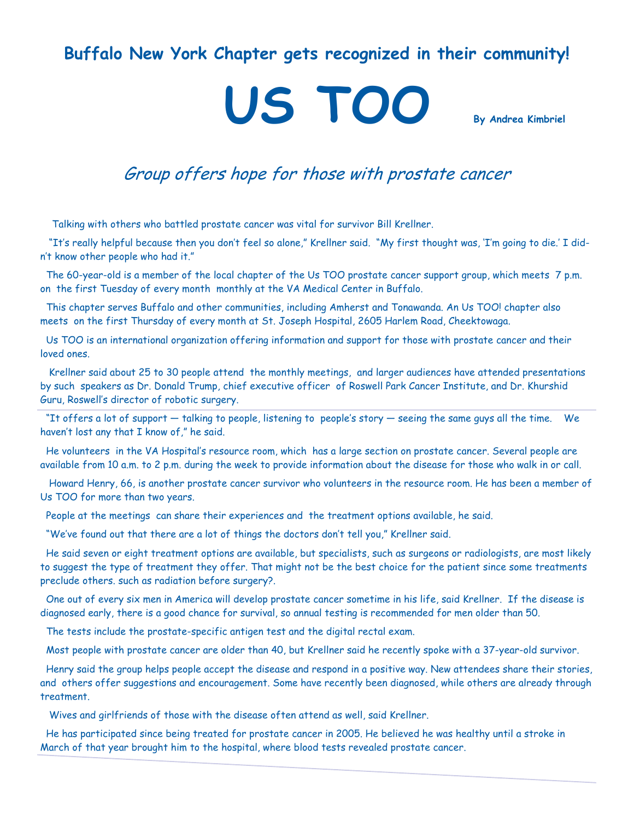## **Buffalo New York Chapter gets recognized in their community!**

# **US TOO By Andrea Kimbriel**

## Group offers hope for those with prostate cancer

Talking with others who battled prostate cancer was vital for survivor Bill Krellner.

 "It's really helpful because then you don't feel so alone," Krellner said. "My first thought was, 'I'm going to die.' I didn't know other people who had it."

 The 60-year-old is a member of the local chapter of the Us TOO prostate cancer support group, which meets 7 p.m. on the first Tuesday of every month monthly at the VA Medical Center in Buffalo.

 This chapter serves Buffalo and other communities, including Amherst and Tonawanda. An Us TOO! chapter also meets on the first Thursday of every month at St. Joseph Hospital, 2605 Harlem Road, Cheektowaga.

 Us TOO is an international organization offering information and support for those with prostate cancer and their loved ones.

 Krellner said about 25 to 30 people attend the monthly meetings, and larger audiences have attended presentations by such speakers as Dr. Donald Trump, chief executive officer of Roswell Park Cancer Institute, and Dr. Khurshid Guru, Roswell's director of robotic surgery.

 "It offers a lot of support — talking to people, listening to people's story — seeing the same guys all the time. We haven't lost any that I know of," he said.

 He volunteers in the VA Hospital's resource room, which has a large section on prostate cancer. Several people are available from 10 a.m. to 2 p.m. during the week to provide information about the disease for those who walk in or call.

 Howard Henry, 66, is another prostate cancer survivor who volunteers in the resource room. He has been a member of Us TOO for more than two years.

People at the meetings can share their experiences and the treatment options available, he said.

"We've found out that there are a lot of things the doctors don't tell you," Krellner said.

 He said seven or eight treatment options are available, but specialists, such as surgeons or radiologists, are most likely to suggest the type of treatment they offer. That might not be the best choice for the patient since some treatments preclude others. such as radiation before surgery?.

 One out of every six men in America will develop prostate cancer sometime in his life, said Krellner. If the disease is diagnosed early, there is a good chance for survival, so annual testing is recommended for men older than 50.

The tests include the prostate-specific antigen test and the digital rectal exam.

Most people with prostate cancer are older than 40, but Krellner said he recently spoke with a 37-year-old survivor.

 Henry said the group helps people accept the disease and respond in a positive way. New attendees share their stories, and others offer suggestions and encouragement. Some have recently been diagnosed, while others are already through treatment.

Wives and girlfriends of those with the disease often attend as well, said Krellner.

 He has participated since being treated for prostate cancer in 2005. He believed he was healthy until a stroke in March of that year brought him to the hospital, where blood tests revealed prostate cancer.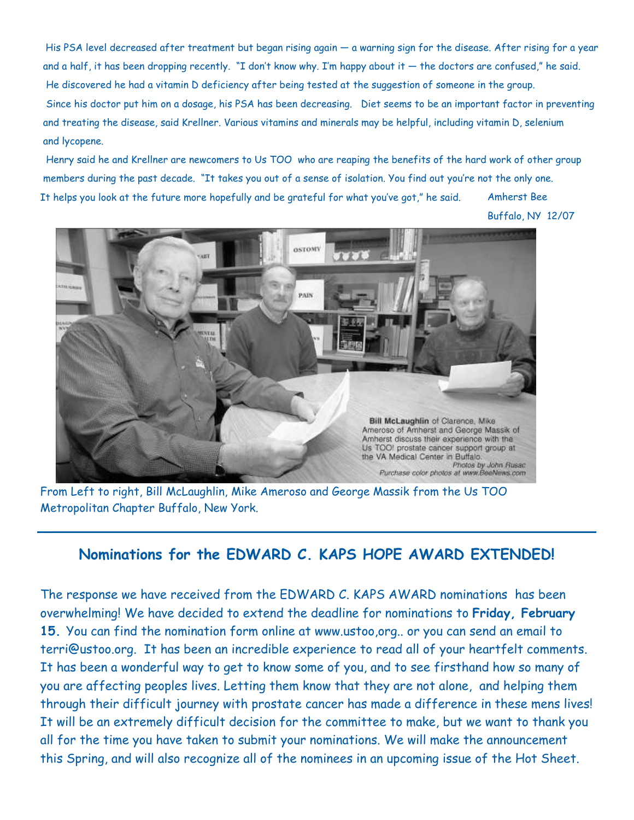His PSA level decreased after treatment but began rising again — a warning sign for the disease. After rising for a year and a half, it has been dropping recently. "I don't know why. I'm happy about it  $-$  the doctors are confused," he said. He discovered he had a vitamin D deficiency after being tested at the suggestion of someone in the group. Since his doctor put him on a dosage, his PSA has been decreasing. Diet seems to be an important factor in preventing and treating the disease, said Krellner. Various vitamins and minerals may be helpful, including vitamin D, selenium and lycopene.

 Henry said he and Krellner are newcomers to Us TOO who are reaping the benefits of the hard work of other group members during the past decade. "It takes you out of a sense of isolation. You find out you're not the only one. It helps you look at the future more hopefully and be grateful for what you've got," he said. Amherst Bee

Buffalo, NY 12/07



From Left to right, Bill McLaughlin, Mike Ameroso and George Massik from the Us TOO Metropolitan Chapter Buffalo, New York.

## **Nominations for the EDWARD C. KAPS HOPE AWARD EXTENDED!**

The response we have received from the EDWARD C. KAPS AWARD nominations has been overwhelming! We have decided to extend the deadline for nominations to **Friday, February 15.** You can find the nomination form online at www.ustoo,org.. or you can send an email to terri@ustoo.org. It has been an incredible experience to read all of your heartfelt comments. It has been a wonderful way to get to know some of you, and to see firsthand how so many of you are affecting peoples lives. Letting them know that they are not alone, and helping them through their difficult journey with prostate cancer has made a difference in these mens lives! It will be an extremely difficult decision for the committee to make, but we want to thank you all for the time you have taken to submit your nominations. We will make the announcement this Spring, and will also recognize all of the nominees in an upcoming issue of the Hot Sheet.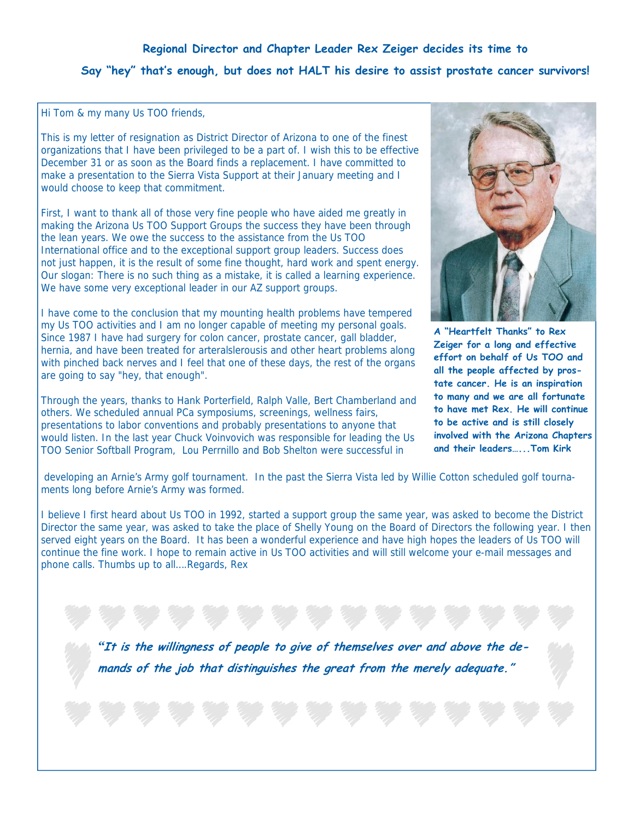### **Regional Director and Chapter Leader Rex Zeiger decides its time to**

## **Say "hey" that's enough, but does not HALT his desire to assist prostate cancer survivors!**

Hi Tom & my many Us TOO friends,

This is my letter of resignation as District Director of Arizona to one of the finest organizations that I have been privileged to be a part of. I wish this to be effective December 31 or as soon as the Board finds a replacement. I have committed to make a presentation to the Sierra Vista Support at their January meeting and I would choose to keep that commitment.

First, I want to thank all of those very fine people who have aided me greatly in making the Arizona Us TOO Support Groups the success they have been through the lean years. We owe the success to the assistance from the Us TOO International office and to the exceptional support group leaders. Success does not just happen, it is the result of some fine thought, hard work and spent energy. Our slogan: There is no such thing as a mistake, it is called a learning experience. We have some very exceptional leader in our AZ support groups.

I have come to the conclusion that my mounting health problems have tempered my Us TOO activities and I am no longer capable of meeting my personal goals. Since 1987 I have had surgery for colon cancer, prostate cancer, gall bladder, hernia, and have been treated for arteralslerousis and other heart problems along with pinched back nerves and I feel that one of these days, the rest of the organs are going to say "hey, that enough".

Through the years, thanks to Hank Porterfield, Ralph Valle, Bert Chamberland and others. We scheduled annual PCa symposiums, screenings, wellness fairs, presentations to labor conventions and probably presentations to anyone that would listen. In the last year Chuck Voinvovich was responsible for leading the Us TOO Senior Softball Program, Lou Perrnillo and Bob Shelton were successful in



**A "Heartfelt Thanks" to Rex Zeiger for a long and effective effort on behalf of Us TOO and all the people affected by prostate cancer. He is an inspiration to many and we are all fortunate to have met Rex. He will continue to be active and is still closely involved with the Arizona Chapters and their leaders…...Tom Kirk** 

 developing an Arnie's Army golf tournament. In the past the Sierra Vista led by Willie Cotton scheduled golf tournaments long before Arnie's Army was formed.

I believe I first heard about Us TOO in 1992, started a support group the same year, was asked to become the District Director the same year, was asked to take the place of Shelly Young on the Board of Directors the following year. I then served eight years on the Board. It has been a wonderful experience and have high hopes the leaders of Us TOO will continue the fine work. I hope to remain active in Us TOO activities and will still welcome your e-mail messages and phone calls. Thumbs up to all….Regards, Rex

*"***It is the willingness of people to give of themselves over and above the demands of the job that distinguishes the great from the merely adequate."**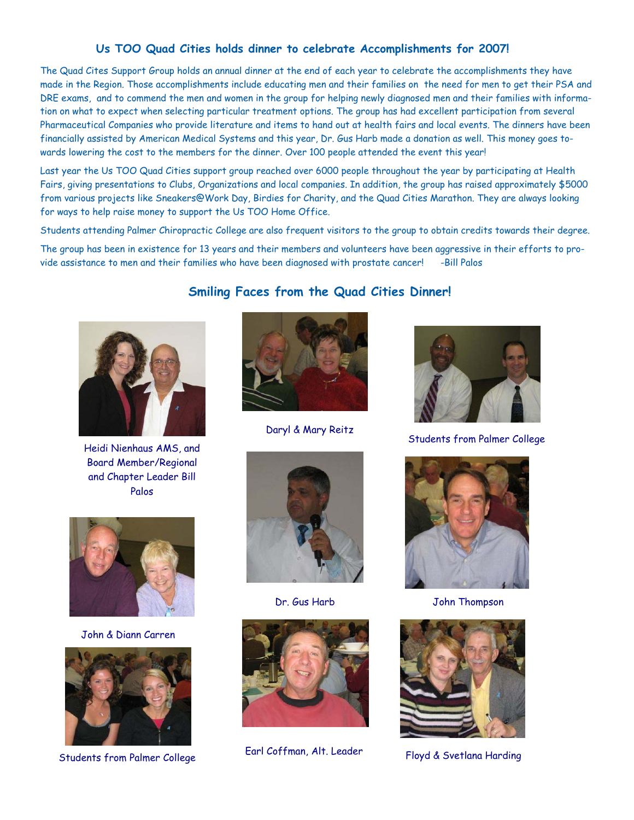#### **Us TOO Quad Cities holds dinner to celebrate Accomplishments for 2007!**

The Quad Cites Support Group holds an annual dinner at the end of each year to celebrate the accomplishments they have made in the Region. Those accomplishments include educating men and their families on the need for men to get their PSA and DRE exams, and to commend the men and women in the group for helping newly diagnosed men and their families with information on what to expect when selecting particular treatment options. The group has had excellent participation from several Pharmaceutical Companies who provide literature and items to hand out at health fairs and local events. The dinners have been financially assisted by American Medical Systems and this year, Dr. Gus Harb made a donation as well. This money goes towards lowering the cost to the members for the dinner. Over 100 people attended the event this year!

Last year the Us TOO Quad Cities support group reached over 6000 people throughout the year by participating at Health Fairs, giving presentations to Clubs, Organizations and local companies. In addition, the group has raised approximately \$5000 from various projects like Sneakers@Work Day, Birdies for Charity, and the Quad Cities Marathon. They are always looking for ways to help raise money to support the Us TOO Home Office.

Students attending Palmer Chiropractic College are also frequent visitors to the group to obtain credits towards their degree.

The group has been in existence for 13 years and their members and volunteers have been aggressive in their efforts to provide assistance to men and their families who have been diagnosed with prostate cancer! -Bill Palos

**Smiling Faces from the Quad Cities Dinner!**



Heidi Nienhaus AMS, and Board Member/Regional and Chapter Leader Bill Palos



Dr. Gus Harb John Thompson











John & Diann Carren



Earl Coffman, Alt. Leader Floyd & Svetlana Harding Floyd & Svetlana Harding